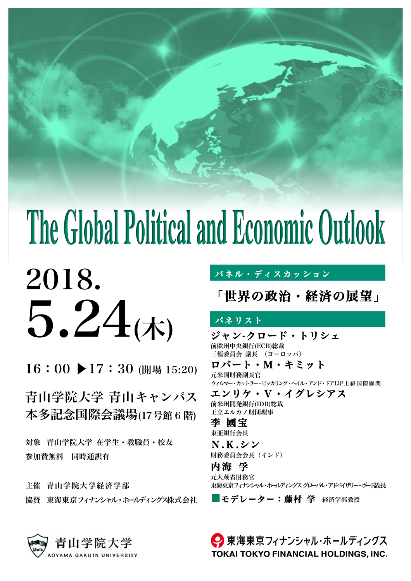# The Global Political and Economic Outlook



16:00 ▶17:30 (開場 15:20)

青山学院大学 青山キャンパス 本多記念国際会議場(17号館 6 階)

対象 青山学院大学 在学生・教職員・校友 参加費無料 同時通訳有

主催 青山学院大学経済学部 協替 東海東京フィナンシャル・ホールディングス株式会社

## パネル・ディスカッション

「世界の政治・経済の展望」

# パネリスト

ジャン-クロード・トリシェ<br>前欧州中央銀行(ECB)総裁 三極委員会 議長 (ヨーロッパ)

ロバート・M・キミット<br>元米国財務副長官 ウィルマー・カットラー・ピッカリング・ヘイル・アンド・ドアLLP上級国際顧問 エンリケ・V・イグレシアス<br>前米州開発銀行(IDB)総裁

王立エルカノ財団理事

李 國宝<br><sub>東亜銀行会長</sub>

**N.K.シン**<br>財務委員会会長 (インド)

内海 孚<br>元大蔵省財務官 東海東京フィナンシャル・ホールディングス グローバル・アドバイザリー・ボード議長

■モデレーター:藤村 学 経済学部教授

● 東海東京フィナンシャル・ホールディングス **TOKAI TOKYO FINANCIAL HOLDINGS, INC.** 

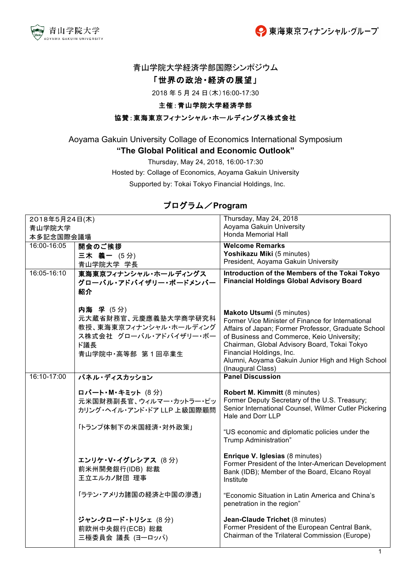



#### 青山学院大学経済学部国際シンポジウム

#### 「世界の政治・経済の展望」

2018年5月24日(木)16:00-17:30

#### 主催:青山学院大学経済学部

#### 協賛:東海東京フィナンシャル・ホールディングス株式会社

# Aoyama Gakuin University Collage of Economics International Symposium

"The Global Political and Economic Outlook"

Thursday, May 24, 2018, 16:00-17:30

Hosted by: Collage of Economics, Aoyama Gakuin University

Supported by: Tokai Tokyo Financial Holdings, Inc.

### プログラム/Program

| 2018年5月24日(木) |                            | Thursday, May 24, 2018                                                                           |
|---------------|----------------------------|--------------------------------------------------------------------------------------------------|
| 青山学院大学        |                            | Aoyama Gakuin University                                                                         |
| 本多記念国際会議場     |                            | <b>Honda Memorial Hall</b>                                                                       |
| 16:00-16:05   | 開会のご挨拶                     | <b>Welcome Remarks</b>                                                                           |
|               | 三木 義一 (5分)                 | Yoshikazu Miki (5 minutes)                                                                       |
|               | 青山学院大学 学長                  | President, Aoyama Gakuin University                                                              |
| 16:05-16:10   | 東海東京フィナンシャル・ホールディングス       | Introduction of the Members of the Tokai Tokyo                                                   |
|               | グローバル・アドバイザリー・ボードメンバー      | <b>Financial Holdings Global Advisory Board</b>                                                  |
|               | 紹介                         |                                                                                                  |
|               |                            |                                                                                                  |
|               | 内海 孚 (5分)                  | Makoto Utsumi (5 minutes)                                                                        |
|               | 元大蔵省財務官、元慶應義塾大学商学研究科       | Former Vice Minister of Finance for International                                                |
|               | 教授、東海東京フィナンシャル・ホールディング     | Affairs of Japan; Former Professor, Graduate School                                              |
|               | ス株式会社 グローバル・アドバイザリー・ボー     | of Business and Commerce, Keio University;                                                       |
|               | ド議長                        | Chairman, Global Advisory Board, Tokai Tokyo                                                     |
|               | 青山学院中·高等部 第1回卒業生           | Financial Holdings, Inc.<br>Alumni, Aoyama Gakuin Junior High and High School                    |
|               |                            | (Inaugural Class)                                                                                |
| 16:10-17:00   | パネル・ディスカッション               | <b>Panel Discussion</b>                                                                          |
|               |                            |                                                                                                  |
|               | ロバート・M・キミット (8分)           | Robert M. Kimmitt (8 minutes)                                                                    |
|               | 元米国財務副長官、ウィルマー・カットラー・ピッ    | Former Deputy Secretary of the U.S. Treasury;                                                    |
|               | カリング・ヘイル・アンド・ドア LLP 上級国際顧問 | Senior International Counsel, Wilmer Cutler Pickering<br>Hale and Dorr LLP                       |
|               |                            |                                                                                                  |
|               | 「トランプ体制下の米国経済・対外政策」        | "US economic and diplomatic policies under the                                                   |
|               |                            | Trump Administration"                                                                            |
|               |                            |                                                                                                  |
|               | エンリケ・V・イグレシアス (8分)         | Enrique V. Iglesias (8 minutes)                                                                  |
|               | 前米州開発銀行(IDB) 総裁            | Former President of the Inter-American Development                                               |
|               | 王立エルカノ財団 理事                | Bank (IDB); Member of the Board, Elcano Royal<br>Institute                                       |
|               |                            |                                                                                                  |
|               | 「ラテン・アメリカ諸国の経済と中国の滲透」      | "Economic Situation in Latin America and China's                                                 |
|               |                            | penetration in the region"                                                                       |
|               |                            |                                                                                                  |
|               | ジャン-クロード・トリシェ (8分)         | Jean-Claude Trichet (8 minutes)                                                                  |
|               | 前欧州中央銀行(ECB) 総裁            | Former President of the European Central Bank,<br>Chairman of the Trilateral Commission (Europe) |
|               | 三極委員会 議長 (ヨーロッパ)           |                                                                                                  |